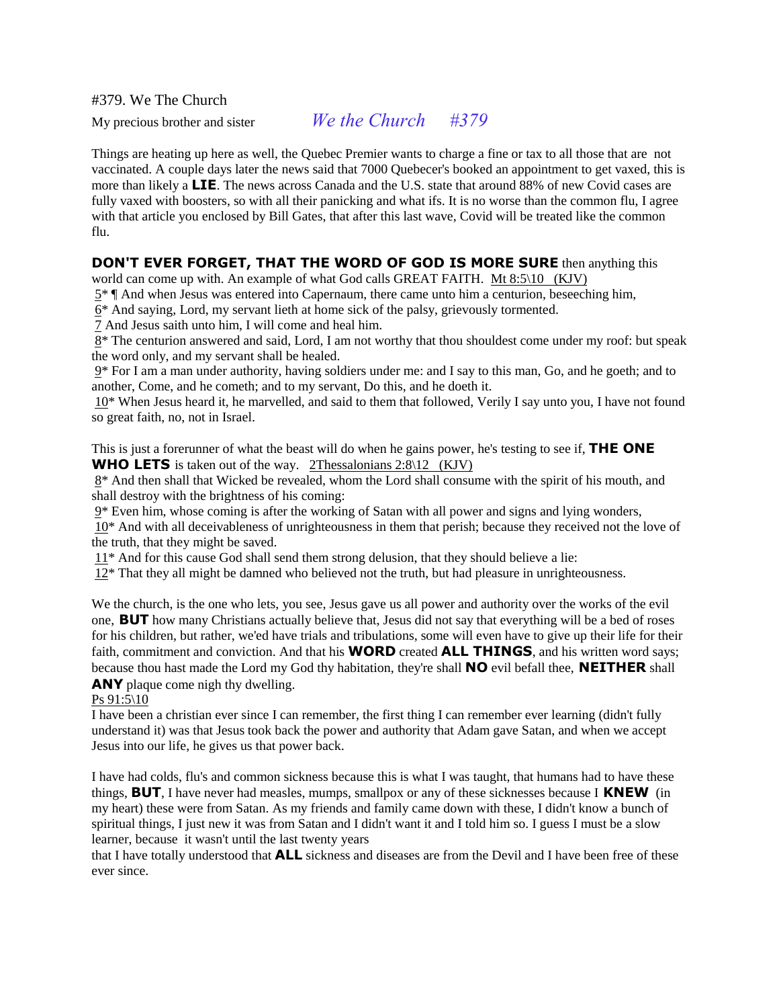#379. We The Church

My precious brother and sister *We the Church #379*

Things are heating up here as well, the Quebec Premier wants to charge a fine or tax to all those that are not vaccinated. A couple days later the news said that 7000 Quebecer's booked an appointment to get vaxed, this is more than likely a **LIE**. The news across Canada and the U.S. state that around 88% of new Covid cases are fully vaxed with boosters, so with all their panicking and what ifs. It is no worse than the common flu, I agree with that article you enclosed by Bill Gates, that after this last wave, Covid will be treated like the common flu.

## **DON'T EVER FORGET, THAT THE WORD OF GOD IS MORE SURE** then anything this

world can come up with. An example of what God calls GREAT FAITH. Mt 8:5\10 (KJV)

 $5^*$  | And when Jesus was entered into Capernaum, there came unto him a centurion, beseeching him,

 $6*$  And saying, Lord, my servant lieth at home sick of the palsy, grievously tormented.

7 And Jesus saith unto him, I will come and heal him.

8\* The centurion answered and said, Lord, I am not worthy that thou shouldest come under my roof: but speak the word only, and my servant shall be healed.

9\* For I am a man under authority, having soldiers under me: and I say to this man, Go, and he goeth; and to another, Come, and he cometh; and to my servant, Do this, and he doeth it.

10\* When Jesus heard it, he marvelled, and said to them that followed, Verily I say unto you, I have not found so great faith, no, not in Israel.

This is just a forerunner of what the beast will do when he gains power, he's testing to see if, **THE ONE WHO LETS** is taken out of the way. 2Thessalonians 2:8\12 (KJV)

8\* And then shall that Wicked be revealed, whom the Lord shall consume with the spirit of his mouth, and shall destroy with the brightness of his coming:

9\* Even him, whose coming is after the working of Satan with all power and signs and lying wonders,

10\* And with all deceivableness of unrighteousness in them that perish; because they received not the love of the truth, that they might be saved.

11\* And for this cause God shall send them strong delusion, that they should believe a lie:

 $12*$  That they all might be damned who believed not the truth, but had pleasure in unrighteousness.

We the church, is the one who lets, you see, Jesus gave us all power and authority over the works of the evil one, **BUT** how many Christians actually believe that, Jesus did not say that everything will be a bed of roses for his children, but rather, we'ed have trials and tribulations, some will even have to give up their life for their faith, commitment and conviction. And that his **WORD** created **ALL THINGS**, and his written word says; because thou hast made the Lord my God thy habitation, they're shall **NO** evil befall thee, **NEITHER** shall **ANY** plaque come nigh thy dwelling.

## Ps 91:5\10

I have been a christian ever since I can remember, the first thing I can remember ever learning (didn't fully understand it) was that Jesus took back the power and authority that Adam gave Satan, and when we accept Jesus into our life, he gives us that power back.

I have had colds, flu's and common sickness because this is what I was taught, that humans had to have these things, **BUT**, I have never had measles, mumps, smallpox or any of these sicknesses because I **KNEW** (in my heart) these were from Satan. As my friends and family came down with these, I didn't know a bunch of spiritual things, I just new it was from Satan and I didn't want it and I told him so. I guess I must be a slow learner, because it wasn't until the last twenty years

that I have totally understood that **ALL** sickness and diseases are from the Devil and I have been free of these ever since.